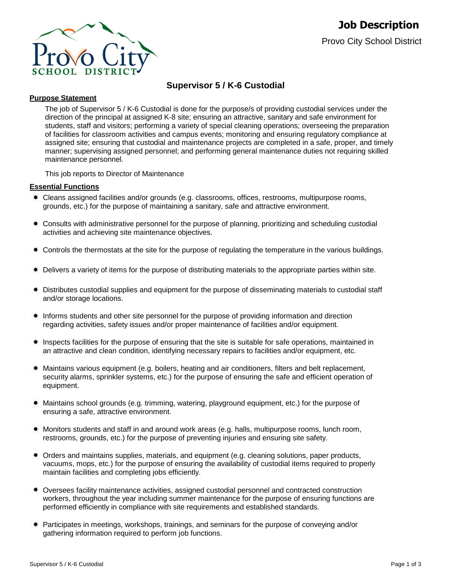

# **Supervisor 5 / K-6 Custodial**

#### **Purpose Statement**

The job of Supervisor 5 / K-6 Custodial is done for the purpose/s of providing custodial services under the direction of the principal at assigned K-8 site; ensuring an attractive, sanitary and safe environment for students, staff and visitors; performing a variety of special cleaning operations; overseeing the preparation of facilities for classroom activities and campus events; monitoring and ensuring regulatory compliance at assigned site; ensuring that custodial and maintenance projects are completed in a safe, proper, and timely manner; supervising assigned personnel; and performing general maintenance duties not requiring skilled maintenance personnel.

This job reports to Director of Maintenance

#### **Essential Functions**

- Cleans assigned facilities and/or grounds (e.g. classrooms, offices, restrooms, multipurpose rooms, grounds, etc.) for the purpose of maintaining a sanitary, safe and attractive environment.
- Consults with administrative personnel for the purpose of planning, prioritizing and scheduling custodial activities and achieving site maintenance objectives.
- Controls the thermostats at the site for the purpose of regulating the temperature in the various buildings.
- Delivers a variety of items for the purpose of distributing materials to the appropriate parties within site.
- Distributes custodial supplies and equipment for the purpose of disseminating materials to custodial staff and/or storage locations.
- Informs students and other site personnel for the purpose of providing information and direction regarding activities, safety issues and/or proper maintenance of facilities and/or equipment.
- Inspects facilities for the purpose of ensuring that the site is suitable for safe operations, maintained in an attractive and clean condition, identifying necessary repairs to facilities and/or equipment, etc.
- Maintains various equipment (e.g. boilers, heating and air conditioners, filters and belt replacement, security alarms, sprinkler systems, etc.) for the purpose of ensuring the safe and efficient operation of equipment.
- Maintains school grounds (e.g. trimming, watering, playground equipment, etc.) for the purpose of  $\bullet$ ensuring a safe, attractive environment.
- Monitors students and staff in and around work areas (e.g. halls, multipurpose rooms, lunch room, restrooms, grounds, etc.) for the purpose of preventing injuries and ensuring site safety.
- Orders and maintains supplies, materials, and equipment (e.g. cleaning solutions, paper products, vacuums, mops, etc.) for the purpose of ensuring the availability of custodial items required to properly maintain facilities and completing jobs efficiently.
- Oversees facility maintenance activities, assigned custodial personnel and contracted construction workers, throughout the year including summer maintenance for the purpose of ensuring functions are performed efficiently in compliance with site requirements and established standards.
- Participates in meetings, workshops, trainings, and seminars for the purpose of conveying and/or gathering information required to perform job functions.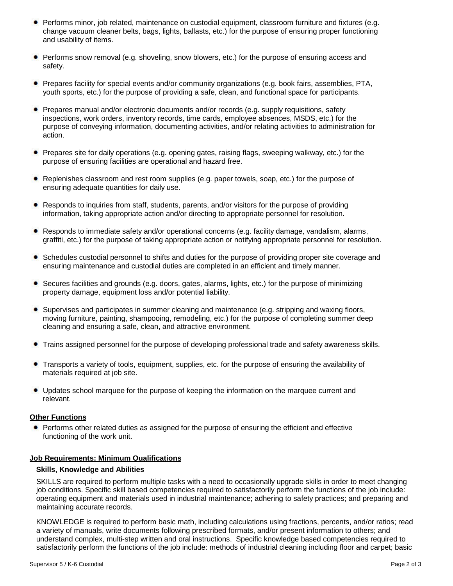- Performs minor, job related, maintenance on custodial equipment, classroom furniture and fixtures (e.g. change vacuum cleaner belts, bags, lights, ballasts, etc.) for the purpose of ensuring proper functioning and usability of items.
- Performs snow removal (e.g. shoveling, snow blowers, etc.) for the purpose of ensuring access and safety.
- Prepares facility for special events and/or community organizations (e.g. book fairs, assemblies, PTA, youth sports, etc.) for the purpose of providing a safe, clean, and functional space for participants.
- Prepares manual and/or electronic documents and/or records (e.g. supply requisitions, safety inspections, work orders, inventory records, time cards, employee absences, MSDS, etc.) for the purpose of conveying information, documenting activities, and/or relating activities to administration for action.
- Prepares site for daily operations (e.g. opening gates, raising flags, sweeping walkway, etc.) for the purpose of ensuring facilities are operational and hazard free.
- Replenishes classroom and rest room supplies (e.g. paper towels, soap, etc.) for the purpose of ensuring adequate quantities for daily use.
- Responds to inquiries from staff, students, parents, and/or visitors for the purpose of providing information, taking appropriate action and/or directing to appropriate personnel for resolution.
- Responds to immediate safety and/or operational concerns (e.g. facility damage, vandalism, alarms, graffiti, etc.) for the purpose of taking appropriate action or notifying appropriate personnel for resolution.
- Schedules custodial personnel to shifts and duties for the purpose of providing proper site coverage and ensuring maintenance and custodial duties are completed in an efficient and timely manner.
- Secures facilities and grounds (e.g. doors, gates, alarms, lights, etc.) for the purpose of minimizing property damage, equipment loss and/or potential liability.
- Supervises and participates in summer cleaning and maintenance (e.g. stripping and waxing floors, moving furniture, painting, shampooing, remodeling, etc.) for the purpose of completing summer deep cleaning and ensuring a safe, clean, and attractive environment.
- Trains assigned personnel for the purpose of developing professional trade and safety awareness skills.
- Transports a variety of tools, equipment, supplies, etc. for the purpose of ensuring the availability of materials required at job site.
- Updates school marquee for the purpose of keeping the information on the marquee current and relevant.

## **Other Functions**

• Performs other related duties as assigned for the purpose of ensuring the efficient and effective functioning of the work unit.

#### **Job Requirements: Minimum Qualifications**

#### **Skills, Knowledge and Abilities**

SKILLS are required to perform multiple tasks with a need to occasionally upgrade skills in order to meet changing job conditions. Specific skill based competencies required to satisfactorily perform the functions of the job include: operating equipment and materials used in industrial maintenance; adhering to safety practices; and preparing and maintaining accurate records.

KNOWLEDGE is required to perform basic math, including calculations using fractions, percents, and/or ratios; read a variety of manuals, write documents following prescribed formats, and/or present information to others; and understand complex, multi-step written and oral instructions. Specific knowledge based competencies required to satisfactorily perform the functions of the job include: methods of industrial cleaning including floor and carpet; basic